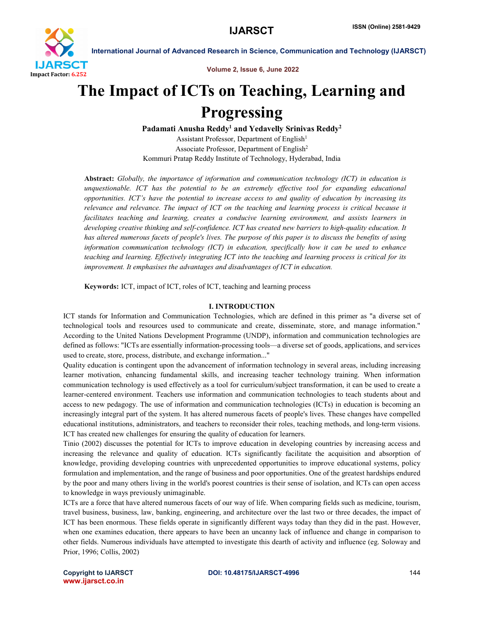

Volume 2, Issue 6, June 2022

# The Impact of ICTs on Teaching, Learning and **Progressing**

Padamati Anusha Reddy<sup>1</sup> and Yedavelly Srinivas Reddy<sup>2</sup> Assistant Professor, Department of English<sup>1</sup> Associate Professor, Department of English2 Kommuri Pratap Reddy Institute of Technology, Hyderabad, India

Abstract: *Globally, the importance of information and communication technology (ICT) in education is unquestionable. ICT has the potential to be an extremely effective tool for expanding educational opportunities. ICT's have the potential to increase access to and quality of education by increasing its relevance and relevance. The impact of ICT on the teaching and learning process is critical because it facilitates teaching and learning, creates a conducive learning environment, and assists learners in developing creative thinking and self-confidence. ICT has created new barriers to high-quality education. It has altered numerous facets of people's lives. The purpose of this paper is to discuss the benefits of using information communication technology (ICT) in education, specifically how it can be used to enhance teaching and learning. Effectively integrating ICT into the teaching and learning process is critical for its improvement. It emphasises the advantages and disadvantages of ICT in education.*

Keywords: ICT, impact of ICT, roles of ICT, teaching and learning process

## I. INTRODUCTION

ICT stands for Information and Communication Technologies, which are defined in this primer as "a diverse set of technological tools and resources used to communicate and create, disseminate, store, and manage information." According to the United Nations Development Programme (UNDP), information and communication technologies are defined as follows: "ICTs are essentially information-processing tools—a diverse set of goods, applications, and services used to create, store, process, distribute, and exchange information..."

Quality education is contingent upon the advancement of information technology in several areas, including increasing learner motivation, enhancing fundamental skills, and increasing teacher technology training. When information communication technology is used effectively as a tool for curriculum/subject transformation, it can be used to create a learner-centered environment. Teachers use information and communication technologies to teach students about and access to new pedagogy. The use of information and communication technologies (ICTs) in education is becoming an increasingly integral part of the system. It has altered numerous facets of people's lives. These changes have compelled educational institutions, administrators, and teachers to reconsider their roles, teaching methods, and long-term visions. ICT has created new challenges for ensuring the quality of education for learners.

Tinio (2002) discusses the potential for ICTs to improve education in developing countries by increasing access and increasing the relevance and quality of education. ICTs significantly facilitate the acquisition and absorption of knowledge, providing developing countries with unprecedented opportunities to improve educational systems, policy formulation and implementation, and the range of business and poor opportunities. One of the greatest hardships endured by the poor and many others living in the world's poorest countries is their sense of isolation, and ICTs can open access to knowledge in ways previously unimaginable.

ICTs are a force that have altered numerous facets of our way of life. When comparing fields such as medicine, tourism, travel business, business, law, banking, engineering, and architecture over the last two or three decades, the impact of ICT has been enormous. These fields operate in significantly different ways today than they did in the past. However, when one examines education, there appears to have been an uncanny lack of influence and change in comparison to other fields. Numerous individuals have attempted to investigate this dearth of activity and influence (eg. Soloway and Prior, 1996; Collis, 2002)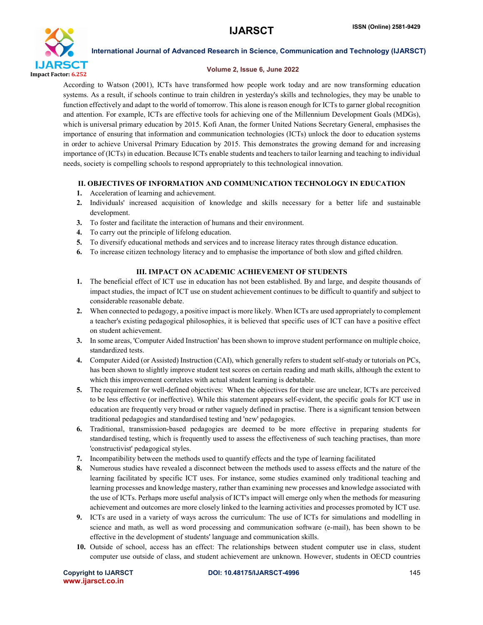

### Volume 2, Issue 6, June 2022

According to Watson (2001), ICTs have transformed how people work today and are now transforming education systems. As a result, if schools continue to train children in yesterday's skills and technologies, they may be unable to function effectively and adapt to the world of tomorrow. This alone is reason enough for ICTs to garner global recognition and attention. For example, ICTs are effective tools for achieving one of the Millennium Development Goals (MDGs), which is universal primary education by 2015. Kofi Anan, the former United Nations Secretary General, emphasises the importance of ensuring that information and communication technologies (ICTs) unlock the door to education systems in order to achieve Universal Primary Education by 2015. This demonstrates the growing demand for and increasing importance of (ICTs) in education. Because ICTs enable students and teachers to tailor learning and teaching to individual needs, society is compelling schools to respond appropriately to this technological innovation.

# II. OBJECTIVES OF INFORMATION AND COMMUNICATION TECHNOLOGY IN EDUCATION

- 1. Acceleration of learning and achievement.
- 2. Individuals' increased acquisition of knowledge and skills necessary for a better life and sustainable development.
- 3. To foster and facilitate the interaction of humans and their environment.
- 4. To carry out the principle of lifelong education.
- 5. To diversify educational methods and services and to increase literacy rates through distance education.
- 6. To increase citizen technology literacy and to emphasise the importance of both slow and gifted children.

# III. IMPACT ON ACADEMIC ACHIEVEMENT OF STUDENTS

- 1. The beneficial effect of ICT use in education has not been established. By and large, and despite thousands of impact studies, the impact of ICT use on student achievement continues to be difficult to quantify and subject to considerable reasonable debate.
- 2. When connected to pedagogy, a positive impact is more likely. When ICTs are used appropriately to complement a teacher's existing pedagogical philosophies, it is believed that specific uses of ICT can have a positive effect on student achievement.
- 3. In some areas, 'Computer Aided Instruction' has been shown to improve student performance on multiple choice, standardized tests.
- 4. Computer Aided (or Assisted) Instruction (CAI), which generally refers to student self-study or tutorials on PCs, has been shown to slightly improve student test scores on certain reading and math skills, although the extent to which this improvement correlates with actual student learning is debatable.
- 5. The requirement for well-defined objectives: When the objectives for their use are unclear, ICTs are perceived to be less effective (or ineffective). While this statement appears self-evident, the specific goals for ICT use in education are frequently very broad or rather vaguely defined in practise. There is a significant tension between traditional pedagogies and standardised testing and 'new' pedagogies.
- 6. Traditional, transmission-based pedagogies are deemed to be more effective in preparing students for standardised testing, which is frequently used to assess the effectiveness of such teaching practises, than more 'constructivist' pedagogical styles.
- 7. Incompatibility between the methods used to quantify effects and the type of learning facilitated
- 8. Numerous studies have revealed a disconnect between the methods used to assess effects and the nature of the learning facilitated by specific ICT uses. For instance, some studies examined only traditional teaching and learning processes and knowledge mastery, rather than examining new processes and knowledge associated with the use of ICTs. Perhaps more useful analysis of ICT's impact will emerge only when the methods for measuring achievement and outcomes are more closely linked to the learning activities and processes promoted by ICT use.
- 9. ICTs are used in a variety of ways across the curriculum: The use of ICTs for simulations and modelling in science and math, as well as word processing and communication software (e-mail), has been shown to be effective in the development of students' language and communication skills.
- 10. Outside of school, access has an effect: The relationships between student computer use in class, student computer use outside of class, and student achievement are unknown. However, students in OECD countries

www.ijarsct.co.in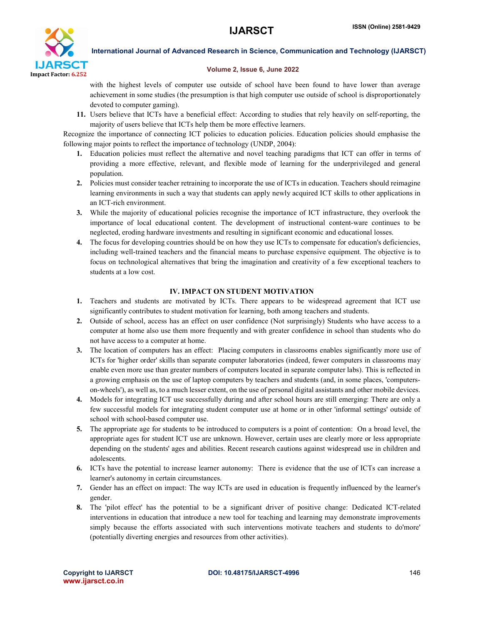

#### Volume 2, Issue 6, June 2022

with the highest levels of computer use outside of school have been found to have lower than average achievement in some studies (the presumption is that high computer use outside of school is disproportionately devoted to computer gaming).

11. Users believe that ICTs have a beneficial effect: According to studies that rely heavily on self-reporting, the majority of users believe that ICTs help them be more effective learners.

Recognize the importance of connecting ICT policies to education policies. Education policies should emphasise the following major points to reflect the importance of technology (UNDP, 2004):

- 1. Education policies must reflect the alternative and novel teaching paradigms that ICT can offer in terms of providing a more effective, relevant, and flexible mode of learning for the underprivileged and general population.
- 2. Policies must consider teacher retraining to incorporate the use of ICTs in education. Teachers should reimagine learning environments in such a way that students can apply newly acquired ICT skills to other applications in an ICT-rich environment.
- 3. While the majority of educational policies recognise the importance of ICT infrastructure, they overlook the importance of local educational content. The development of instructional content-ware continues to be neglected, eroding hardware investments and resulting in significant economic and educational losses.
- 4. The focus for developing countries should be on how they use ICTs to compensate for education's deficiencies, including well-trained teachers and the financial means to purchase expensive equipment. The objective is to focus on technological alternatives that bring the imagination and creativity of a few exceptional teachers to students at a low cost.

### IV. IMPACT ON STUDENT MOTIVATION

- 1. Teachers and students are motivated by ICTs. There appears to be widespread agreement that ICT use significantly contributes to student motivation for learning, both among teachers and students.
- 2. Outside of school, access has an effect on user confidence (Not surprisingly) Students who have access to a computer at home also use them more frequently and with greater confidence in school than students who do not have access to a computer at home.
- 3. The location of computers has an effect: Placing computers in classrooms enables significantly more use of ICTs for 'higher order' skills than separate computer laboratories (indeed, fewer computers in classrooms may enable even more use than greater numbers of computers located in separate computer labs). This is reflected in a growing emphasis on the use of laptop computers by teachers and students (and, in some places, 'computerson-wheels'), as well as, to a much lesser extent, on the use of personal digital assistants and other mobile devices.
- 4. Models for integrating ICT use successfully during and after school hours are still emerging: There are only a few successful models for integrating student computer use at home or in other 'informal settings' outside of school with school-based computer use.
- 5. The appropriate age for students to be introduced to computers is a point of contention: On a broad level, the appropriate ages for student ICT use are unknown. However, certain uses are clearly more or less appropriate depending on the students' ages and abilities. Recent research cautions against widespread use in children and adolescents.
- 6. ICTs have the potential to increase learner autonomy: There is evidence that the use of ICTs can increase a learner's autonomy in certain circumstances.
- 7. Gender has an effect on impact: The way ICTs are used in education is frequently influenced by the learner's gender.
- 8. The 'pilot effect' has the potential to be a significant driver of positive change: Dedicated ICT-related interventions in education that introduce a new tool for teaching and learning may demonstrate improvements simply because the efforts associated with such interventions motivate teachers and students to do'more' (potentially diverting energies and resources from other activities).